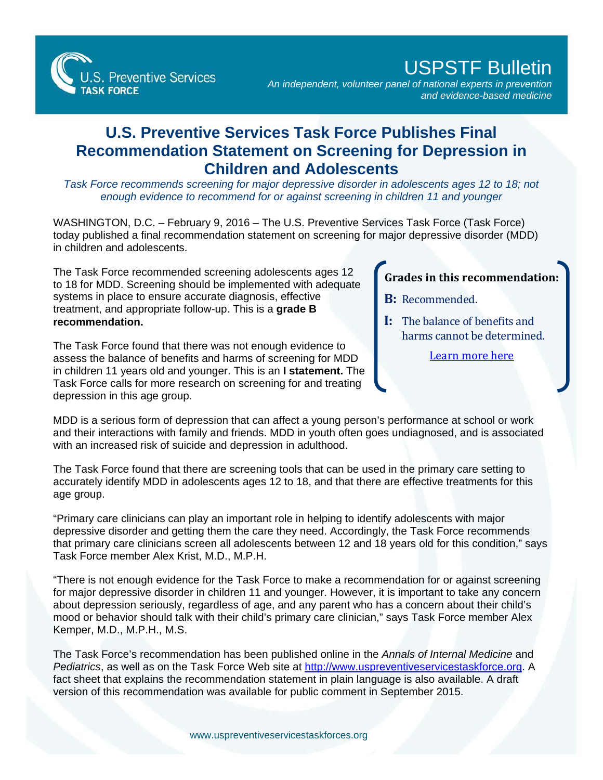

## USPSTF Bulletin

*An independent, volunteer panel of national experts in prevention and evidence-based medicine*

## **U.S. Preventive Services Task Force Publishes Final Recommendation Statement on Screening for Depression in Children and Adolescents**

*Task Force recommends screening for major depressive disorder in adolescents ages 12 to 18; not enough evidence to recommend for or against screening in children 11 and younger*

WASHINGTON, D.C. – February 9, 2016 – The U.S. Preventive Services Task Force (Task Force) today published a final recommendation statement on screening for major depressive disorder (MDD) in children and adolescents.

The Task Force recommended screening adolescents ages 12 to 18 for MDD. Screening should be implemented with adequate systems in place to ensure accurate diagnosis, effective treatment, and appropriate follow-up. This is a **grade B recommendation.**

The Task Force found that there was not enough evidence to assess the balance of benefits and harms of screening for MDD in children 11 years old and younger. This is an **I statement.** The Task Force calls for more research on screening for and treating depression in this age group.

## **Grades in this recommendation:**

- **B:** Recommended.
- **I:** The balance of benefits and harms cannot be determined.

[Learn more here](http://www.uspreventiveservicestaskforce.org/Page/Name/grade-definitions)

MDD is a serious form of depression that can affect a young person's performance at school or work and their interactions with family and friends. MDD in youth often goes undiagnosed, and is associated with an increased risk of suicide and depression in adulthood.

The Task Force found that there are screening tools that can be used in the primary care setting to accurately identify MDD in adolescents ages 12 to 18, and that there are effective treatments for this age group.

"Primary care clinicians can play an important role in helping to identify adolescents with major depressive disorder and getting them the care they need. Accordingly, the Task Force recommends that primary care clinicians screen all adolescents between 12 and 18 years old for this condition," says Task Force member Alex Krist, M.D., M.P.H.

"There is not enough evidence for the Task Force to make a recommendation for or against screening for major depressive disorder in children 11 and younger. However, it is important to take any concern about depression seriously, regardless of age, and any parent who has a concern about their child's mood or behavior should talk with their child's primary care clinician," says Task Force member Alex Kemper, M.D., M.P.H., M.S.

The Task Force's recommendation has been published online in the *Annals of Internal Medicine* and *Pediatrics*, as well as on the Task Force Web site at [http://www.uspreventiveservicestaskforce.org.](http://www.uspreventiveservicestaskforce.org/) A fact sheet that explains the recommendation statement in plain language is also available. A draft version of this recommendation was available for public comment in September 2015.